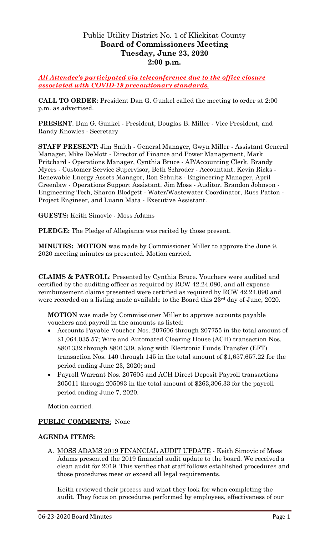# Public Utility District No. 1 of Klickitat County **Board of Commissioners Meeting Tuesday, June 23, 2020 2:00 p.m.**

*All Attendee's participated via teleconference due to the office closure associated with COVID-19 precautionary standards.*

**CALL TO ORDER**: President Dan G. Gunkel called the meeting to order at 2:00 p.m. as advertised.

**PRESENT**: Dan G. Gunkel - President, Douglas B. Miller - Vice President, and Randy Knowles - Secretary

**STAFF PRESENT:** Jim Smith - General Manager, Gwyn Miller - Assistant General Manager, Mike DeMott - Director of Finance and Power Management, Mark Pritchard - Operations Manager, Cynthia Bruce - AP/Accounting Clerk, Brandy Myers - Customer Service Supervisor, Beth Schroder - Accountant, Kevin Ricks - Renewable Energy Assets Manager, Ron Schultz - Engineering Manager, April Greenlaw - Operations Support Assistant, Jim Moss - Auditor, Brandon Johnson - Engineering Tech, Sharon Blodgett - Water/Wastewater Coordinator, Russ Patton - Project Engineer, and Luann Mata - Executive Assistant.

**GUESTS:** Keith Simovic - Moss Adams

**PLEDGE:** The Pledge of Allegiance was recited by those present.

**MINUTES: MOTION** was made by Commissioner Miller to approve the June 9, 2020 meeting minutes as presented. Motion carried.

**CLAIMS & PAYROLL**: Presented by Cynthia Bruce. Vouchers were audited and certified by the auditing officer as required by RCW 42.24.080, and all expense reimbursement claims presented were certified as required by RCW 42.24.090 and were recorded on a listing made available to the Board this 23<sup>rd</sup> day of June, 2020.

**MOTION** was made by Commissioner Miller to approve accounts payable vouchers and payroll in the amounts as listed:

- Accounts Payable Voucher Nos. 207606 through 207755 in the total amount of \$1,064,035.57; Wire and Automated Clearing House (ACH) transaction Nos. 8801332 through 8801339, along with Electronic Funds Transfer (EFT) transaction Nos. 140 through 145 in the total amount of \$1,657,657.22 for the period ending June 23, 2020; and
- Payroll Warrant Nos. 207605 and ACH Direct Deposit Payroll transactions 205011 through 205093 in the total amount of \$263,306.33 for the payroll period ending June 7, 2020.

Motion carried.

#### **PUBLIC COMMENTS**: None

#### **AGENDA ITEMS:**

A. MOSS ADAMS 2019 FINANCIAL AUDIT UPDATE - Keith Simovic of Moss Adams presented the 2019 financial audit update to the board. We received a clean audit for 2019. This verifies that staff follows established procedures and those procedures meet or exceed all legal requirements.

Keith reviewed their process and what they look for when completing the audit. They focus on procedures performed by employees, effectiveness of our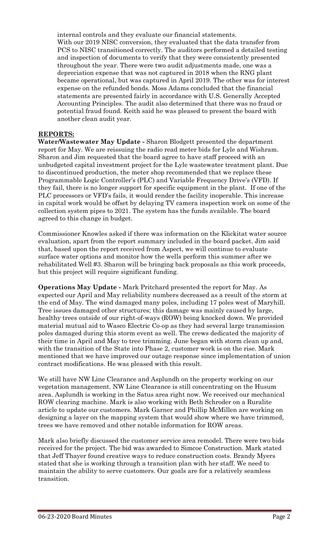internal controls and they evaluate our financial statements. With our 2019 NISC conversion, they evaluated that the data transfer from PCS to NISC transitioned correctly. The auditors performed a detailed testing and inspection of documents to verify that they were consistently presented throughout the year. There were two audit adjustments made, one was a depreciation expense that was not captured in 2018 when the RNG plant became operational, but was captured in April 2019. The other was for interest expense on the refunded bonds. Moss Adams concluded that the financial statements are presented fairly in accordance with U.S. Generally Accepted Accounting Principles. The audit also determined that there was no fraud or potential fraud found. Keith said he was pleased to present the board with another clean audit year.

### **REPORTS:**

**Water/Wastewater May Update -** Sharon Blodgett presented the department report for May. We are reissuing the radio read meter bids for Lyle and Wishram. Sharon and Jim requested that the board agree to have staff proceed with an unbudgeted capital investment project for the Lyle wastewater treatment plant. Due to discontinued production, the meter shop recommended that we replace these Programmable Logic Controller's (PLC) and Variable Frequency Drive's (VFD). If they fail, there is no longer support for specific equipment in the plant. If one of the PLC processors or VFD's fails, it would render the facility inoperable. This increase in capital work would be offset by delaying TV camera inspection work on some of the collection system pipes to 2021. The system has the funds available. The board agreed to this change in budget.

Commissioner Knowles asked if there was information on the Klickitat water source evaluation, apart from the report summary included in the board packet. Jim said that, based upon the report received from Aspect, we will continue to evaluate surface water options and monitor how the wells perform this summer after we rehabilitated Well #3. Sharon will be bringing back proposals as this work proceeds, but this project will require significant funding.

**Operations May Update -** Mark Pritchard presented the report for May. As expected our April and May reliability numbers decreased as a result of the storm at the end of May. The wind damaged many poles, including 17 poles west of Maryhill. Tree issues damaged other structures; this damage was mainly caused by large, healthy trees outside of our right-of-ways (ROW) being knocked down. We provided material mutual aid to Wasco Electric Co-op as they had several large transmission poles damaged during this storm event as well. The crews dedicated the majority of their time in April and May to tree trimming. June began with storm clean up and, with the transition of the State into Phase 2, customer work is on the rise. Mark mentioned that we have improved our outage response since implementation of union contract modifications. He was pleased with this result.

We still have NW Line Clearance and Asplundh on the property working on our vegetation management. NW Line Clearance is still concentrating on the Husum area. Asplundh is working in the Satus area right now. We received our mechanical ROW clearing machine. Mark is also working with Beth Schroder on a Ruralite article to update our customers. Mark Garner and Phillip McMillen are working on designing a layer on the mapping system that would show where we have trimmed, trees we have removed and other notable information for ROW areas.

Mark also briefly discussed the customer service area remodel. There were two bids received for the project. The bid was awarded to Simcoe Construction. Mark stated that Jeff Thayer found creative ways to reduce construction costs. Brandy Myers stated that she is working through a transition plan with her staff. We need to maintain the ability to serve customers. Our goals are for a relatively seamless transition.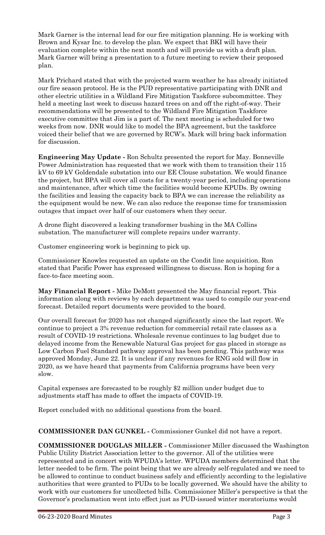Mark Garner is the internal lead for our fire mitigation planning. He is working with Brown and Kysar Inc. to develop the plan. We expect that BKI will have their evaluation complete within the next month and will provide us with a draft plan. Mark Garner will bring a presentation to a future meeting to review their proposed plan.

Mark Prichard stated that with the projected warm weather he has already initiated our fire season protocol. He is the PUD representative participating with DNR and other electric utilities in a Wildland Fire Mitigation Taskforce subcommittee. They held a meeting last week to discuss hazard trees on and off the right-of-way. Their recommendations will be presented to the Wildland Fire Mitigation Taskforce executive committee that Jim is a part of. The next meeting is scheduled for two weeks from now. DNR would like to model the BPA agreement, but the taskforce voiced their belief that we are governed by RCW's. Mark will bring back information for discussion.

**Engineering May Update -** Ron Schultz presented the report for May. Bonneville Power Administration has requested that we work with them to transition their 115 kV to 69 kV Goldendale substation into our EE Clouse substation. We would finance the project, but BPA will cover all costs for a twenty-year period, including operations and maintenance, after which time the facilities would become KPUDs. By owning the facilities and leasing the capacity back to BPA we can increase the reliability as the equipment would be new. We can also reduce the response time for transmission outages that impact over half of our customers when they occur.

A drone flight discovered a leaking transformer bushing in the MA Collins substation. The manufacturer will complete repairs under warranty.

Customer engineering work is beginning to pick up.

Commissioner Knowles requested an update on the Condit line acquisition. Ron stated that Pacific Power has expressed willingness to discuss. Ron is hoping for a face-to-face meeting soon.

**May Financial Report -** Mike DeMott presented the May financial report. This information along with reviews by each department was used to compile our year-end forecast. Detailed report documents were provided to the board.

Our overall forecast for 2020 has not changed significantly since the last report. We continue to project a 3% revenue reduction for commercial retail rate classes as a result of COVID-19 restrictions. Wholesale revenue continues to lag budget due to delayed income from the Renewable Natural Gas project for gas placed in storage as Low Carbon Fuel Standard pathway approval has been pending. This pathway was approved Monday, June 22. It is unclear if any revenues for RNG sold will flow in 2020, as we have heard that payments from California programs have been very slow.

Capital expenses are forecasted to be roughly \$2 million under budget due to adjustments staff has made to offset the impacts of COVID-19.

Report concluded with no additional questions from the board.

**COMMISSIONER DAN GUNKEL -** Commissioner Gunkel did not have a report.

**COMMISSIONER DOUGLAS MILLER -** Commissioner Miller discussed the Washington Public Utility District Association letter to the governor. All of the utilities were represented and in concert with WPUDA's letter. WPUDA members determined that the letter needed to be firm. The point being that we are already self-regulated and we need to be allowed to continue to conduct business safely and efficiently according to the legislative authorities that were granted to PUDs to be locally governed. We should have the ability to work with our customers for uncollected bills. Commissioner Miller's perspective is that the Governor's proclamation went into effect just as PUD-issued winter moratoriums would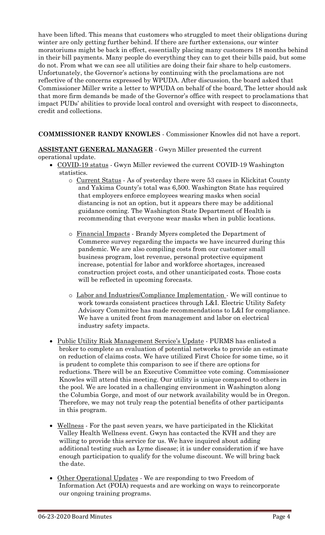have been lifted. This means that customers who struggled to meet their obligations during winter are only getting further behind. If there are further extensions, our winter moratoriums might be back in effect, essentially placing many customers 18 months behind in their bill payments. Many people do everything they can to get their bills paid, but some do not. From what we can see all utilities are doing their fair share to help customers. Unfortunately, the Governor's actions by continuing with the proclamations are not reflective of the concerns expressed by WPUDA. After discussion, the board asked that Commissioner Miller write a letter to WPUDA on behalf of the board, The letter should ask that more firm demands be made of the Governor's office with respect to proclamations that impact PUDs' abilities to provide local control and oversight with respect to disconnects, credit and collections.

### **COMMISSIONER RANDY KNOWLES** - Commissioner Knowles did not have a report.

### **ASSISTANT GENERAL MANAGER** - Gwyn Miller presented the current operational update.

- COVID-19 status Gwyn Miller reviewed the current COVID-19 Washington statistics.
	- o Current Status As of yesterday there were 53 cases in Klickitat County and Yakima County's total was 6,500. Washington State has required that employers enforce employees wearing masks when social distancing is not an option, but it appears there may be additional guidance coming. The Washington State Department of Health is recommending that everyone wear masks when in public locations.
	- o Financial Impacts Brandy Myers completed the Department of Commerce survey regarding the impacts we have incurred during this pandemic. We are also compiling costs from our customer small business program, lost revenue, personal protective equipment increase, potential for labor and workforce shortages, increased construction project costs, and other unanticipated costs. Those costs will be reflected in upcoming forecasts.
	- o Labor and Industries/Compliance Implementation We will continue to work towards consistent practices through L&I. Electric Utility Safety Advisory Committee has made recommendations to L&I for compliance. We have a united front from management and labor on electrical industry safety impacts.
- Public Utility Risk Management Service's Update PURMS has enlisted a broker to complete an evaluation of potential networks to provide an estimate on reduction of claims costs. We have utilized First Choice for some time, so it is prudent to complete this comparison to see if there are options for reductions. There will be an Executive Committee vote coming. Commissioner Knowles will attend this meeting. Our utility is unique compared to others in the pool. We are located in a challenging environment in Washington along the Columbia Gorge, and most of our network availability would be in Oregon. Therefore, we may not truly reap the potential benefits of other participants in this program.
- Wellness For the past seven years, we have participated in the Klickitat Valley Health Wellness event. Gwyn has contacted the KVH and they are willing to provide this service for us. We have inquired about adding additional testing such as Lyme disease; it is under consideration if we have enough participation to qualify for the volume discount. We will bring back the date.
- Other Operational Updates We are responding to two Freedom of Information Act (FOIA) requests and are working on ways to reincorporate our ongoing training programs.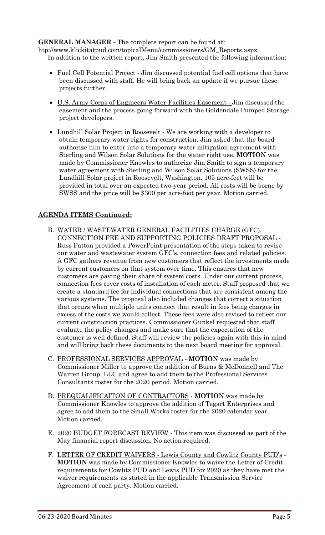## **GENERAL MANAGER -** The complete report can be found at:

[htp://www.klickitatpud.com/topicalMenu/commissioners/GM\\_Reports.aspx](http://www.klickitatpud.com/topicalMenu/commissioners/GM_Reports.aspx) In addition to the written report, Jim Smith presented the following information:

- Fuel Cell Potential Project Jim discussed potential fuel cell options that have been discussed with staff. He will bring back an update if we pursue these projects further.
- U.S. Army Corps of Engineers Water Facilities Easement Jim discussed the easement and the process going forward with the Goldendale Pumped Storage project developers.
- Lundhill Solar Project in Roosevelt We are working with a developer to obtain temporary water rights for construction. Jim asked that the board authorize him to enter into a temporary water mitigation agreement with Sterling and Wilson Solar Solutions for the water right use. **MOTION** was made by Commissioner Knowles to authorize Jim Smith to sign a temporary water agreement with Sterling and Wilson Solar Solutions (SWSS) for the Lundhill Solar project in Roosevelt, Washington. 105 acre-feet will be provided in total over an expected two-year period. All costs will be borne by SWSS and the price will be \$300 per acre-foot per year. Motion carried.

## **AGENDA ITEMS Continued:**

- B. WATER / WASTEWATER GENERAL FACILITIES CHARGE (GFC), CONNECTION FEE AND SUPPORTING POLICIES DRAFT PROPOSAL - Russ Patton provided a PowerPoint presentation of the steps taken to revise our water and wastewater system GFC's, connection fees and related policies. A GFC gathers revenue from new customers that reflect the investments made by current customers on that system over time. This ensures that new customers are paying their share of system costs. Under our current process, connection fees cover costs of installation of each meter. Staff proposed that we create a standard fee for individual connections that are consistent among the various systems. The proposal also included changes that correct a situation that occurs when multiple units connect that result in fees being charges in excess of the costs we would collect. These fees were also revised to reflect our current construction practices. Commissioner Gunkel requested that staff evaluate the policy changes and make sure that the expectation of the customer is well defined. Staff will review the policies again with this in mind and will bring back these documents to the next board meeting for approval.
- C. PROFESSIONAL SERVICES APPROVAL **MOTION** was made by Commissioner Miller to approve the addition of Burns & McDonnell and The Warren Group, LLC and agree to add them to the Professional Services Consultants roster for the 2020 period. Motion carried.
- D. PREQUALIFICAITON OF CONTRACTORS **MOTION** was made by Commissioner Knowles to approve the addition of Tegart Enterprises and agree to add them to the Small Works roster for the 2020 calendar year. Motion carried.
- E. 2020 BUDGET FORECAST REVIEW This item was discussed as part of the May financial report discussion*.* No action required.
- F. LETTER OF CREDIT WAIVERS Lewis County and Cowlitz County PUD's **MOTION** was made by Commissioner Knowles to waive the Letter of Credit requirements for Cowlitz PUD and Lewis PUD for 2020 as they have met the waiver requirements as stated in the applicable Transmission Service Agreement of each party. Motion carried.